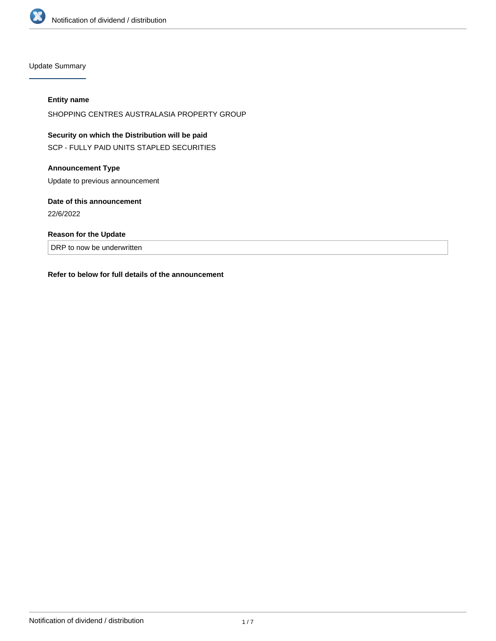

Update Summary

#### **Entity name**

SHOPPING CENTRES AUSTRALASIA PROPERTY GROUP

# **Security on which the Distribution will be paid** SCP - FULLY PAID UNITS STAPLED SECURITIES

#### **Announcement Type**

Update to previous announcement

#### **Date of this announcement**

22/6/2022

#### **Reason for the Update**

DRP to now be underwritten

#### **Refer to below for full details of the announcement**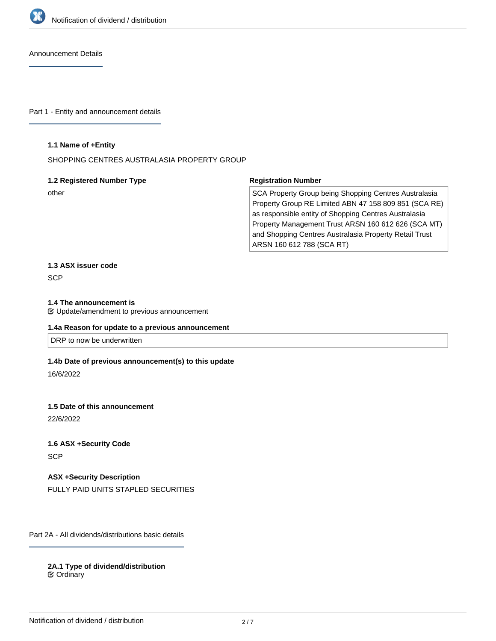

Announcement Details

Part 1 - Entity and announcement details

#### **1.1 Name of +Entity**

SHOPPING CENTRES AUSTRALASIA PROPERTY GROUP

#### **1.2 Registered Number Type**

other

#### **Registration Number**

SCA Property Group being Shopping Centres Australasia Property Group RE Limited ABN 47 158 809 851 (SCA RE) as responsible entity of Shopping Centres Australasia Property Management Trust ARSN 160 612 626 (SCA MT) and Shopping Centres Australasia Property Retail Trust ARSN 160 612 788 (SCA RT)

# **1.3 ASX issuer code**

**SCP** 

#### **1.4 The announcement is**

Update/amendment to previous announcement

#### **1.4a Reason for update to a previous announcement**

DRP to now be underwritten

#### **1.4b Date of previous announcement(s) to this update**

16/6/2022

#### **1.5 Date of this announcement**

22/6/2022

### **1.6 ASX +Security Code SCP**

**ASX +Security Description** FULLY PAID UNITS STAPLED SECURITIES

Part 2A - All dividends/distributions basic details

**2A.1 Type of dividend/distribution** Ordinary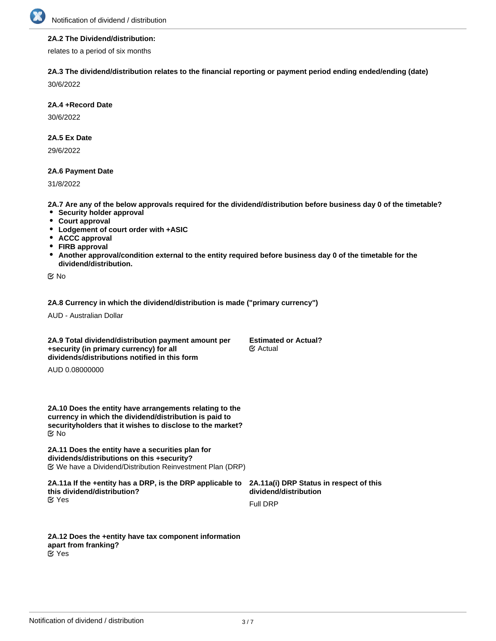

#### **2A.2 The Dividend/distribution:**

relates to a period of six months

#### **2A.3 The dividend/distribution relates to the financial reporting or payment period ending ended/ending (date)**

30/6/2022

#### **2A.4 +Record Date**

30/6/2022

#### **2A.5 Ex Date**

29/6/2022

#### **2A.6 Payment Date**

31/8/2022

**2A.7 Are any of the below approvals required for the dividend/distribution before business day 0 of the timetable?**

- **•** Security holder approval
- **Court approval**
- **Lodgement of court order with +ASIC**
- **ACCC approval**
- **FIRB approval**
- **Another approval/condition external to the entity required before business day 0 of the timetable for the dividend/distribution.**

No

#### **2A.8 Currency in which the dividend/distribution is made ("primary currency")**

AUD - Australian Dollar

**2A.9 Total dividend/distribution payment amount per +security (in primary currency) for all dividends/distributions notified in this form**

**Estimated or Actual?** Actual

AUD 0.08000000

**2A.10 Does the entity have arrangements relating to the currency in which the dividend/distribution is paid to securityholders that it wishes to disclose to the market?** No

**2A.11 Does the entity have a securities plan for dividends/distributions on this +security?** We have a Dividend/Distribution Reinvestment Plan (DRP)

**2A.11a If the +entity has a DRP, is the DRP applicable to this dividend/distribution? 2A.11a(i) DRP Status in respect of this dividend/distribution** Yes

Full DRP

**2A.12 Does the +entity have tax component information apart from franking?** Yes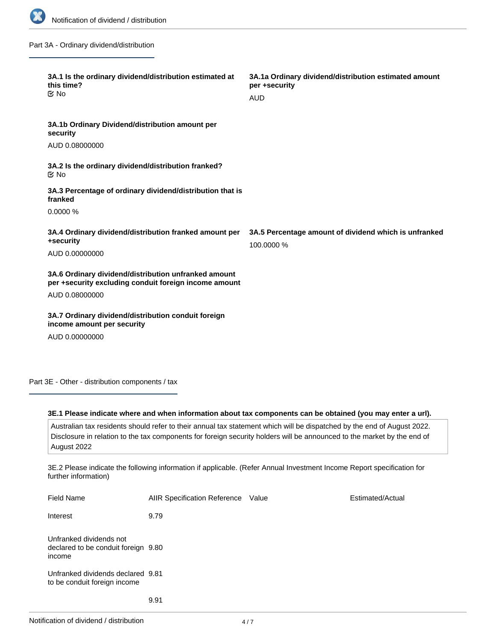

Part 3A - Ordinary dividend/distribution

| 3A.1 Is the ordinary dividend/distribution estimated at<br>this time?<br>$\mathfrak{C}$ No                    | 3A.1a Ordinary dividend/distribution estimated amount<br>per +security<br><b>AUD</b> |
|---------------------------------------------------------------------------------------------------------------|--------------------------------------------------------------------------------------|
| 3A.1b Ordinary Dividend/distribution amount per<br>security<br>AUD 0.08000000                                 |                                                                                      |
| 3A.2 Is the ordinary dividend/distribution franked?                                                           |                                                                                      |
| ় No<br>3A.3 Percentage of ordinary dividend/distribution that is                                             |                                                                                      |
| franked<br>0.0000%                                                                                            |                                                                                      |
| 3A.4 Ordinary dividend/distribution franked amount per<br>+security                                           | 3A.5 Percentage amount of dividend which is unfranked<br>100.0000 %                  |
| AUD 0.00000000                                                                                                |                                                                                      |
| 3A.6 Ordinary dividend/distribution unfranked amount<br>per +security excluding conduit foreign income amount |                                                                                      |
| AUD 0.08000000                                                                                                |                                                                                      |
| 3A.7 Ordinary dividend/distribution conduit foreign<br>income amount per security                             |                                                                                      |
| AUD 0.00000000                                                                                                |                                                                                      |

Part 3E - Other - distribution components / tax

#### **3E.1 Please indicate where and when information about tax components can be obtained (you may enter a url).**

Australian tax residents should refer to their annual tax statement which will be dispatched by the end of August 2022. Disclosure in relation to the tax components for foreign security holders will be announced to the market by the end of August 2022

3E.2 Please indicate the following information if applicable. (Refer Annual Investment Income Report specification for further information)

| <b>Field Name</b>                                                        | <b>AIIR Specification Reference</b> | Value | Estimated/Actual |
|--------------------------------------------------------------------------|-------------------------------------|-------|------------------|
| Interest                                                                 | 9.79                                |       |                  |
| Unfranked dividends not<br>declared to be conduit foreign 9.80<br>income |                                     |       |                  |
| Unfranked dividends declared 9.81<br>to be conduit foreign income        |                                     |       |                  |
|                                                                          | 9.91                                |       |                  |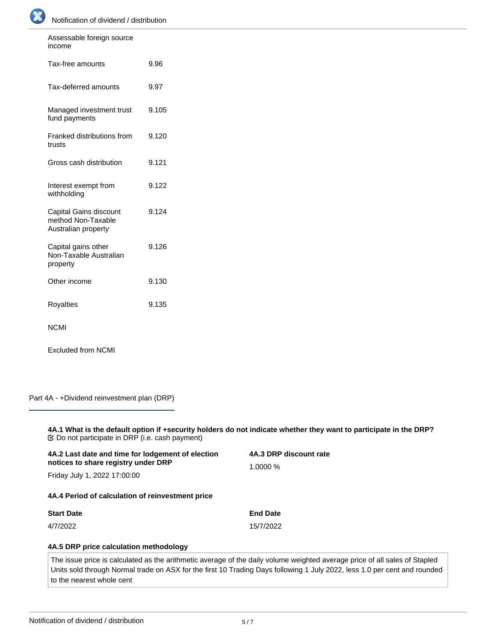

| Assessable foreign source<br>income                                 |       |
|---------------------------------------------------------------------|-------|
| Tax-free amounts                                                    | 9.96  |
| Tax-deferred amounts                                                | 9.97  |
| Managed investment trust<br>fund payments                           | 9.105 |
| Franked distributions from<br>trusts                                | 9.120 |
| Gross cash distribution                                             | 9.121 |
| Interest exempt from<br>withholding                                 | 9.122 |
| Capital Gains discount<br>method Non-Taxable<br>Australian property | 9.124 |
| Capital gains other<br>Non-Taxable Australian<br>property           | 9.126 |
| Other income                                                        | 9.130 |
| Royalties                                                           | 9.135 |
| <b>NCMI</b>                                                         |       |

Excluded from NCMI

Part 4A - +Dividend reinvestment plan (DRP)

**4A.1 What is the default option if +security holders do not indicate whether they want to participate in the DRP?** Do not participate in DRP (i.e. cash payment)

| 4A.2 Last date and time for lodgement of election                   | 4A.3 DRP discount rate |  |
|---------------------------------------------------------------------|------------------------|--|
| notices to share registry under DRP<br>Friday July 1, 2022 17:00:00 | 1.0000%                |  |
| 4A.4 Period of calculation of reinvestment price                    |                        |  |
| <b>Start Date</b>                                                   | <b>End Date</b>        |  |
| 4/7/2022                                                            | 15/7/2022              |  |
| 4A.5 DRP price calculation methodology                              |                        |  |

The issue price is calculated as the arithmetic average of the daily volume weighted average price of all sales of Stapled Units sold through Normal trade on ASX for the first 10 Trading Days following 1 July 2022, less 1.0 per cent and rounded to the nearest whole cent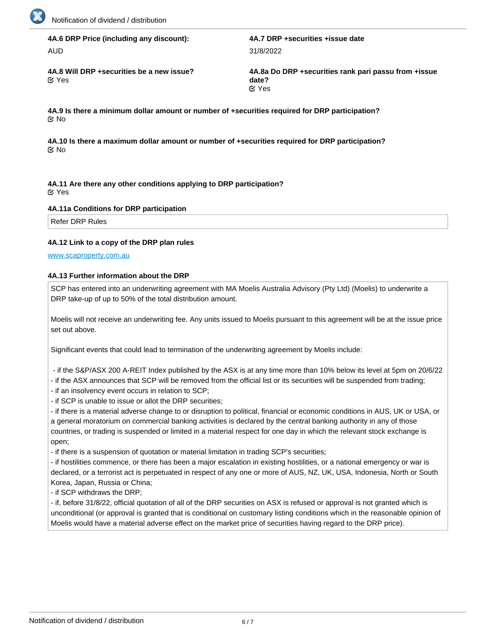

# **4A.6 DRP Price (including any discount):**

AUD

**K**Yes

**4A.7 DRP +securities +issue date** 31/8/2022

**4A.8 Will DRP +securities be a new issue? 4A.8a Do DRP +securities rank pari passu from +issue date? K** Yes

**4A.9 Is there a minimum dollar amount or number of +securities required for DRP participation?** No

**4A.10 Is there a maximum dollar amount or number of +securities required for DRP participation? No** 

**4A.11 Are there any other conditions applying to DRP participation?** Yes

#### **4A.11a Conditions for DRP participation**

Refer DRP Rules

#### **4A.12 Link to a copy of the DRP plan rules**

[www.scaproperty.com.au](http://www.scaproperty.com.au)

#### **4A.13 Further information about the DRP**

SCP has entered into an underwriting agreement with MA Moelis Australia Advisory (Pty Ltd) (Moelis) to underwrite a DRP take-up of up to 50% of the total distribution amount.

Moelis will not receive an underwriting fee. Any units issued to Moelis pursuant to this agreement will be at the issue price set out above.

Significant events that could lead to termination of the underwriting agreement by Moelis include:

- if the S&P/ASX 200 A-REIT Index published by the ASX is at any time more than 10% below its level at 5pm on 20/6/22

- if the ASX announces that SCP will be removed from the official list or its securities will be suspended from trading;

- if an insolvency event occurs in relation to SCP;

- if SCP is unable to issue or allot the DRP securities;

- if there is a material adverse change to or disruption to political, financial or economic conditions in AUS, UK or USA, or a general moratorium on commercial banking activities is declared by the central banking authority in any of those countries, or trading is suspended or limited in a material respect for one day in which the relevant stock exchange is open;

- if there is a suspension of quotation or material limitation in trading SCP's securities;

- if hostilities commence, or there has been a major escalation in existing hostilities, or a national emergency or war is declared, or a terrorist act is perpetuated in respect of any one or more of AUS, NZ, UK, USA, Indonesia, North or South Korea, Japan, Russia or China;

- if SCP withdraws the DRP;

- if, before 31/8/22, official quotation of all of the DRP securities on ASX is refused or approval is not granted which is unconditional (or approval is granted that is conditional on customary listing conditions which in the reasonable opinion of Moelis would have a material adverse effect on the market price of securities having regard to the DRP price).